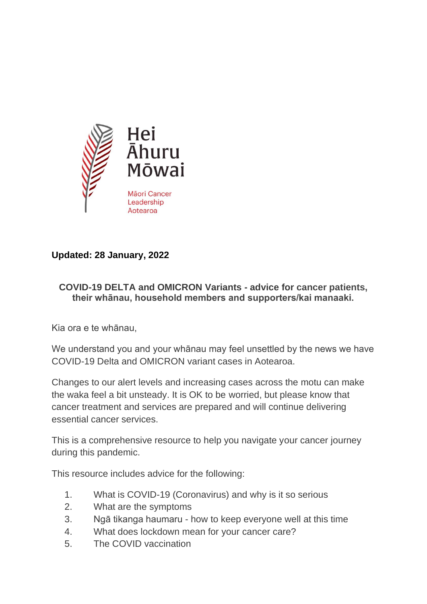

# **Updated: 28 January, 2022**

#### **COVID-19 DELTA and OMICRON Variants - advice for cancer patients, their whānau, household members and supporters/kai manaaki.**

Kia ora e te whānau,

We understand you and your whānau may feel unsettled by the news we have COVID-19 Delta and OMICRON variant cases in Aotearoa.

Changes to our alert levels and increasing cases across the motu can make the waka feel a bit unsteady. It is OK to be worried, but please know that cancer treatment and services are prepared and will continue delivering essential cancer services.

This is a comprehensive resource to help you navigate your cancer journey during this pandemic.

This resource includes advice for the following:

- 1. What is COVID-19 (Coronavirus) and why is it so serious
- 2. What are the symptoms
- 3. Ngā tikanga haumaru how to keep everyone well at this time
- 4. What does lockdown mean for your cancer care?
- 5. The COVID vaccination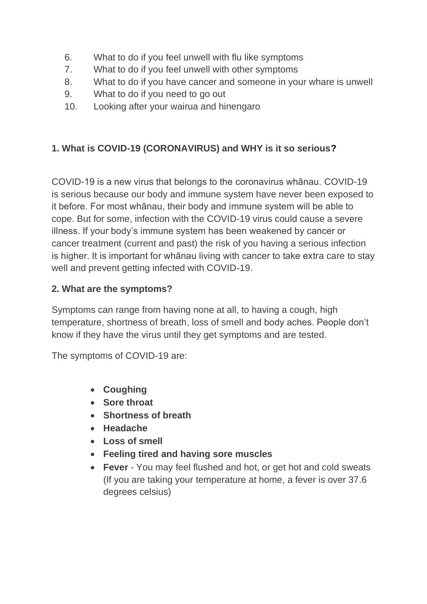- 6. What to do if you feel unwell with flu like symptoms
- 7. What to do if you feel unwell with other symptoms
- 8. What to do if you have cancer and someone in your whare is unwell
- 9. What to do if you need to go out
- 10. Looking after your wairua and hinengaro

# **1. What is COVID-19 (CORONAVIRUS) and WHY is it so serious?**

COVID-19 is a new virus that belongs to the coronavirus whānau. COVID-19 is serious because our body and immune system have never been exposed to it before. For most whānau, their body and immune system will be able to cope. But for some, infection with the COVID-19 virus could cause a severe illness. If your body's immune system has been weakened by cancer or cancer treatment (current and past) the risk of you having a serious infection is higher. It is important for whānau living with cancer to take extra care to stay well and prevent getting infected with COVID-19.

# **2. What are the symptoms?**

Symptoms can range from having none at all, to having a cough, high temperature, shortness of breath, loss of smell and body aches. People don't know if they have the virus until they get symptoms and are tested.

The symptoms of COVID-19 are:

- **Coughing**
- **Sore throat**
- **Shortness of breath**
- **Headache**
- **Loss of smell**
- **Feeling tired and having sore muscles**
- **Fever** You may feel flushed and hot, or get hot and cold sweats (If you are taking your temperature at home, a fever is over 37.6 degrees celsius)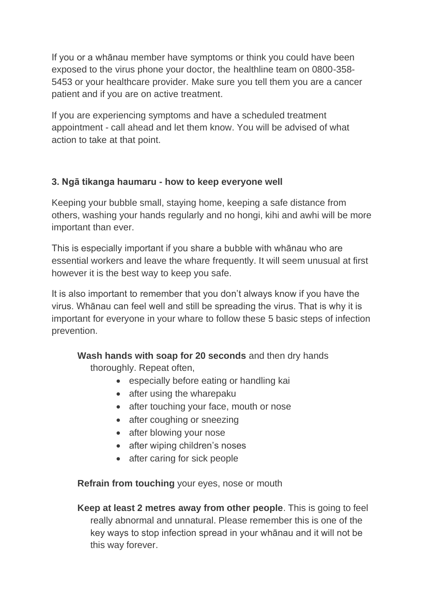If you or a whānau member have symptoms or think you could have been exposed to the virus phone your doctor, the healthline team on 0800-358- 5453 or your healthcare provider. Make sure you tell them you are a cancer patient and if you are on active treatment.

If you are experiencing symptoms and have a scheduled treatment appointment - call ahead and let them know. You will be advised of what action to take at that point.

### **3. Ngā tikanga haumaru - how to keep everyone well**

Keeping your bubble small, staying home, keeping a safe distance from others, washing your hands regularly and no hongi, kihi and awhi will be more important than ever.

This is especially important if you share a bubble with whānau who are essential workers and leave the whare frequently. It will seem unusual at first however it is the best way to keep you safe.

It is also important to remember that you don't always know if you have the virus. Whānau can feel well and still be spreading the virus. That is why it is important for everyone in your whare to follow these 5 basic steps of infection prevention.

**Wash hands with soap for 20 seconds** and then dry hands

thoroughly. Repeat often,

- especially before eating or handling kai
- after using the wharepaku
- after touching your face, mouth or nose
- after coughing or sneezing
- after blowing your nose
- after wiping children's noses
- after caring for sick people

**Refrain from touching** your eyes, nose or mouth

**Keep at least 2 metres away from other people**. This is going to feel really abnormal and unnatural. Please remember this is one of the key ways to stop infection spread in your whānau and it will not be this way forever.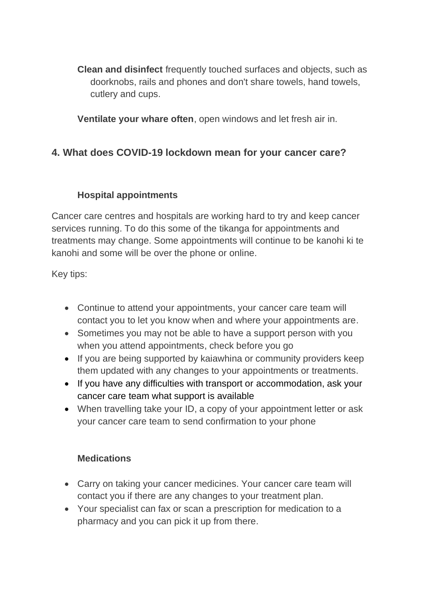**Clean and disinfect** frequently touched surfaces and objects, such as doorknobs, rails and phones and don't share towels, hand towels, cutlery and cups.

**Ventilate your whare often**, open windows and let fresh air in.

# **4. What does COVID-19 lockdown mean for your cancer care?**

# **Hospital appointments**

Cancer care centres and hospitals are working hard to try and keep cancer services running. To do this some of the tikanga for appointments and treatments may change. Some appointments will continue to be kanohi ki te kanohi and some will be over the phone or online.

Key tips:

- Continue to attend your appointments, your cancer care team will contact you to let you know when and where your appointments are.
- Sometimes you may not be able to have a support person with you when you attend appointments, check before you go
- If you are being supported by kaiawhina or community providers keep them updated with any changes to your appointments or treatments.
- If you have any difficulties with transport or accommodation, ask your cancer care team what support is available
- When travelling take your ID, a copy of your appointment letter or ask your cancer care team to send confirmation to your phone

# **Medications**

- Carry on taking your cancer medicines. Your cancer care team will contact you if there are any changes to your treatment plan.
- Your specialist can fax or scan a prescription for medication to a pharmacy and you can pick it up from there.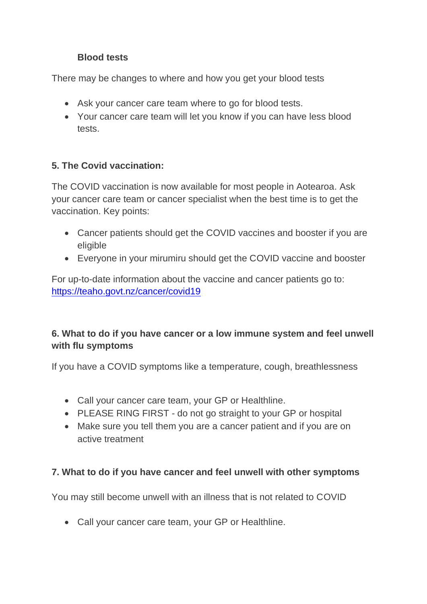### **Blood tests**

There may be changes to where and how you get your blood tests

- Ask your cancer care team where to go for blood tests.
- Your cancer care team will let you know if you can have less blood tests.

### **5. The Covid vaccination:**

The COVID vaccination is now available for most people in Aotearoa. Ask your cancer care team or cancer specialist when the best time is to get the vaccination. Key points:

- Cancer patients should get the COVID vaccines and booster if you are eligible
- Everyone in your mirumiru should get the COVID vaccine and booster

For up-to-date information about the vaccine and cancer patients go to: <https://teaho.govt.nz/cancer/covid19>

# **6. What to do if you have cancer or a low immune system and feel unwell with flu symptoms**

If you have a COVID symptoms like a temperature, cough, breathlessness

- Call your cancer care team, your GP or Healthline.
- PLEASE RING FIRST do not go straight to your GP or hospital
- Make sure you tell them you are a cancer patient and if you are on active treatment

# **7. What to do if you have cancer and feel unwell with other symptoms**

You may still become unwell with an illness that is not related to COVID

• Call your cancer care team, your GP or Healthline.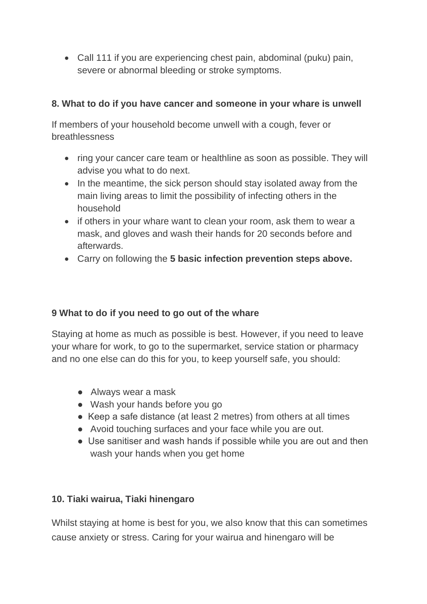• Call 111 if you are experiencing chest pain, abdominal (puku) pain, severe or abnormal bleeding or stroke symptoms.

### **8. What to do if you have cancer and someone in your whare is unwell**

If members of your household become unwell with a cough, fever or breathlessness

- ring your cancer care team or healthline as soon as possible. They will advise you what to do next.
- In the meantime, the sick person should stay isolated away from the main living areas to limit the possibility of infecting others in the household
- if others in your whare want to clean your room, ask them to wear a mask, and gloves and wash their hands for 20 seconds before and afterwards.
- Carry on following the **5 basic infection prevention steps above.**

#### **9 What to do if you need to go out of the whare**

Staying at home as much as possible is best. However, if you need to leave your whare for work, to go to the supermarket, service station or pharmacy and no one else can do this for you, to keep yourself safe, you should:

- Always wear a mask
- Wash your hands before you go
- Keep a safe distance (at least 2 metres) from others at all times
- Avoid touching surfaces and your face while you are out.
- Use sanitiser and wash hands if possible while you are out and then wash your hands when you get home

# **10. Tiaki wairua, Tiaki hinengaro**

Whilst staying at home is best for you, we also know that this can sometimes cause anxiety or stress. Caring for your wairua and hinengaro will be